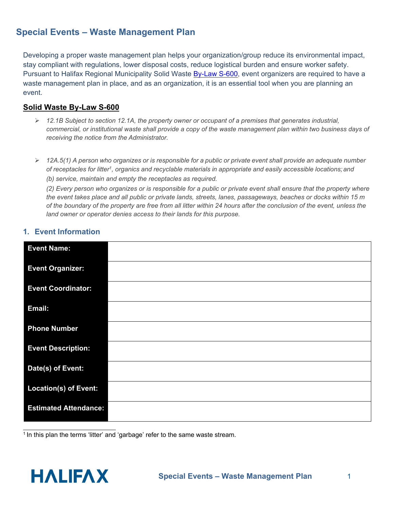# **Special Events – Waste Management Plan**

Developing a proper waste management plan helps your organization/group reduce its environmental impact, stay compliant with regulations, lower disposal costs, reduce logistical burden and ensure worker safety. Pursuant to Halifax Regional Municipality Solid Waste **By-Law S-600**, event organizers are required to have a waste management plan in place, and as an organization, it is an essential tool when you are planning an event.

### **Solid Waste By-Law S-600**

- *12.1B Subject to section 12.1A, the property owner or occupant of a premises that generates industrial, commercial, or institutional waste shall provide a copy of the waste management plan within two business days of receiving the notice from the Administrator.*
- *12A.5(1) A person who organizes or is responsible for a public or private event shall provide an adequate number of receptacles for litter1, organics and recyclable materials in appropriate and easily accessible locations; and*

*(b) service, maintain and empty the receptacles as required.*

*(2) Every person who organizes or is responsible for a public or private event shall ensure that the property where the event takes place and all public or private lands, streets, lanes, passageways, beaches or docks within 15 m of the boundary of the property are free from all litter within 24 hours after the conclusion of the event, unless the land owner or operator denies access to their lands for this purpose.*

#### **1. Event Information**

| <b>Event Name:</b>           |  |
|------------------------------|--|
| <b>Event Organizer:</b>      |  |
| <b>Event Coordinator:</b>    |  |
| Email:                       |  |
| <b>Phone Number</b>          |  |
| <b>Event Description:</b>    |  |
| Date(s) of Event:            |  |
| <b>Location(s) of Event:</b> |  |
| <b>Estimated Attendance:</b> |  |

<sup>1</sup> In this plan the terms 'litter' and 'garbage' refer to the same waste stream.

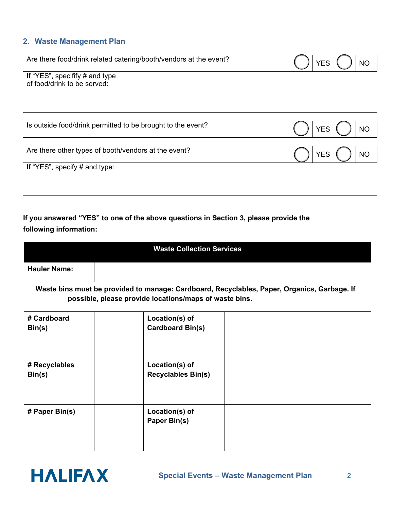## **2. Waste Management Plan**

| Are there food/drink related catering/booth/vendors at the event? |  | N0 |
|-------------------------------------------------------------------|--|----|
| engeifify # and tyng<br>If "VES"                                  |  |    |

If "YES", specifify # and type of food/drink to be served:

| Is outside food/drink permitted to be brought to the event? |  |
|-------------------------------------------------------------|--|
| Are there other types of booth/vendors at the event?        |  |
| If "YES", specify $#$ and type:                             |  |

# **If you answered "YES" to one of the above questions in Section 3, please provide the following information:**

| <b>Waste Collection Services</b>                                                                                                                      |  |                                             |  |  |  |
|-------------------------------------------------------------------------------------------------------------------------------------------------------|--|---------------------------------------------|--|--|--|
| <b>Hauler Name:</b>                                                                                                                                   |  |                                             |  |  |  |
| Waste bins must be provided to manage: Cardboard, Recyclables, Paper, Organics, Garbage. If<br>possible, please provide locations/maps of waste bins. |  |                                             |  |  |  |
| # Cardboard<br>Bin(s)                                                                                                                                 |  | Location(s) of<br><b>Cardboard Bin(s)</b>   |  |  |  |
| # Recyclables<br>Bin(s)                                                                                                                               |  | Location(s) of<br><b>Recyclables Bin(s)</b> |  |  |  |
| # Paper Bin(s)                                                                                                                                        |  | Location(s) of<br>Paper Bin(s)              |  |  |  |

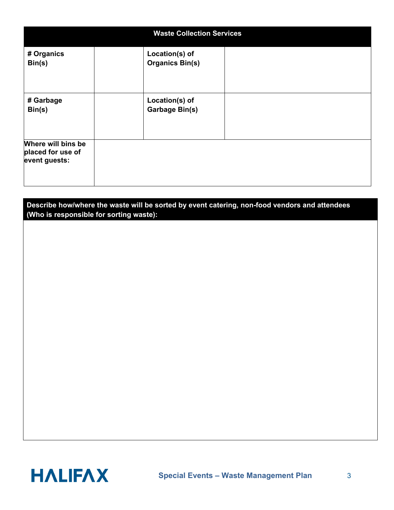| <b>Waste Collection Services</b>                         |                                          |  |  |  |  |
|----------------------------------------------------------|------------------------------------------|--|--|--|--|
| # Organics<br>Bin(s)                                     | Location(s) of<br><b>Organics Bin(s)</b> |  |  |  |  |
| # Garbage<br>Bin(s)                                      | Location(s) of<br><b>Garbage Bin(s)</b>  |  |  |  |  |
| Where will bins be<br>placed for use of<br>event guests: |                                          |  |  |  |  |

## **Describe how/where the waste will be sorted by event catering, non-food vendors and attendees (Who is responsible for sorting waste):**